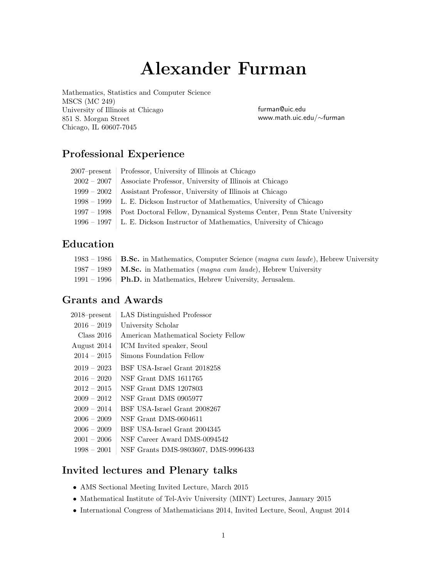# Alexander Furman

Mathematics, Statistics and Computer Science MSCS (MC 249) University of Illinois at Chicago 851 S. Morgan Street Chicago, IL 60607-7045

furman@uic.edu www.math.uic.edu/∼furman

# Professional Experience

|               | 2007–present   Professor, University of Illinois at Chicago                         |
|---------------|-------------------------------------------------------------------------------------|
| $2002-2007$   | Associate Professor, University of Illinois at Chicago                              |
| $1999 - 2002$ | Assistant Professor, University of Illinois at Chicago                              |
|               | $1998 - 1999$ L. E. Dickson Instructor of Mathematics, University of Chicago        |
|               | 1997 – 1998   Post Doctoral Fellow, Dynamical Systems Center, Penn State University |
|               | $1996 - 1997$   L. E. Dickson Instructor of Mathematics, University of Chicago      |

# Education

| 1983 – 1986   B.Sc. in Mathematics, Computer Science (magna cum laude), Hebrew University |
|-------------------------------------------------------------------------------------------|
| 1987 – 1989   <b>M.Sc.</b> in Mathematics ( <i>magna cum laude</i> ), Hebrew University   |
| $1991 - 1996$ <b>Ph.D.</b> in Mathematics, Hebrew University, Jerusalem.                  |

## Grants and Awards

| $2018$ -present | LAS Distinguished Professor          |
|-----------------|--------------------------------------|
| $2016 - 2019$   | University Scholar                   |
| Class 2016      | American Mathematical Society Fellow |
| August 2014     | ICM Invited speaker, Seoul           |
| $2014 - 2015$   | Simons Foundation Fellow             |
| $2019 - 2023$   | BSF USA-Israel Grant 2018258         |
| $2016 - 2020$   | NSF Grant DMS 1611765                |
| $2012 - 2015$   | NSF Grant DMS 1207803                |
| $2009 - 2012$   | NSF Grant DMS 0905977                |
| $2009 - 2014$   | BSF USA-Israel Grant 2008267         |
| $2006 - 2009$   | NSF Grant DMS-0604611                |
| $2006 - 2009$   | BSF USA-Israel Grant 2004345         |
| $2001 - 2006$   | NSF Career Award DMS-0094542         |
| $1998 - 2001$   | NSF Grants DMS-9803607, DMS-9996433  |

## Invited lectures and Plenary talks

- AMS Sectional Meeting Invited Lecture, March 2015
- Mathematical Institute of Tel-Aviv University (MINT) Lectures, January 2015
- International Congress of Mathematicians 2014, Invited Lecture, Seoul, August 2014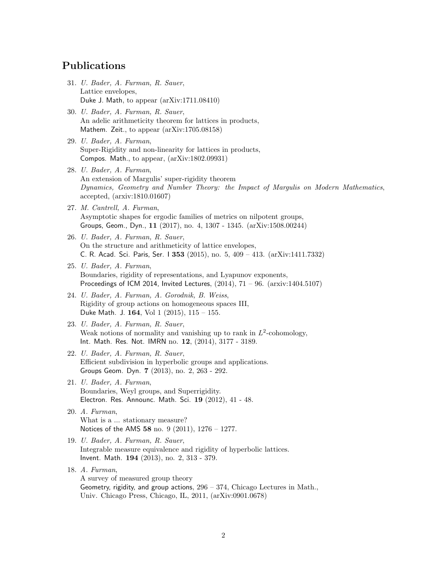## Publications

- 31. U. Bader, A. Furman, R. Sauer, Lattice envelopes, Duke J. Math, to appear (arXiv:1711.08410)
- 30. U. Bader, A. Furman, R. Sauer, An adelic arithmeticity theorem for lattices in products, Mathem. Zeit., to appear (arXiv:1705.08158)
- 29. U. Bader, A. Furman, Super-Rigidity and non-linearity for lattices in products, Compos. Math., to appear, (arXiv:1802.09931)
- 28. U. Bader, A. Furman, An extension of Margulis' super-rigidity theorem Dynamics, Geometry and Number Theory: the Impact of Margulis on Modern Mathematics, accepted, (arxiv:1810.01607)
- 27. M. Cantrell, A. Furman, Asymptotic shapes for ergodic families of metrics on nilpotent groups, Groups, Geom., Dyn., 11 (2017), no. 4, 1307 - 1345. (arXiv:1508.00244)
- 26. U. Bader, A. Furman, R. Sauer, On the structure and arithmeticity of lattice envelopes, C. R. Acad. Sci. Paris, Ser. I 353 (2015), no. 5, 409 – 413. (arXiv:1411.7332)
- 25. U. Bader, A. Furman, Boundaries, rigidity of representations, and Lyapunov exponents, Proceedings of ICM 2014, Invited Lectures,  $(2014)$ ,  $71 - 96$ .  $($ arxiv:1404.5107)
- 24. U. Bader, A. Furman, A. Gorodnik, B. Weiss, Rigidity of group actions on homogeneous spaces III, Duke Math. J. 164, Vol 1  $(2015)$ , 115 - 155.
- 23. U. Bader, A. Furman, R. Sauer, Weak notions of normality and vanishing up to rank in  $L^2$ -cohomology, Int. Math. Res. Not. IMRN no. 12, (2014), 3177 - 3189.
- 22. U. Bader, A. Furman, R. Sauer, Efficient subdivision in hyperbolic groups and applications. Groups Geom. Dyn. 7 (2013), no. 2, 263 - 292.
- 21. U. Bader, A. Furman, Boundaries, Weyl groups, and Superrigidity. Electron. Res. Announc. Math. Sci. 19 (2012), 41 - 48.
- 20. A. Furman, What is a ... stationary measure? Notices of the AMS 58 no. 9 (2011), 1276 – 1277.
- 19. U. Bader, A. Furman, R. Sauer, Integrable measure equivalence and rigidity of hyperbolic lattices. Invent. Math. 194 (2013), no. 2, 313 - 379.
- 18. A. Furman, A survey of measured group theory Geometry, rigidity, and group actions,  $296 - 374$ , Chicago Lectures in Math., Univ. Chicago Press, Chicago, IL, 2011, (arXiv:0901.0678)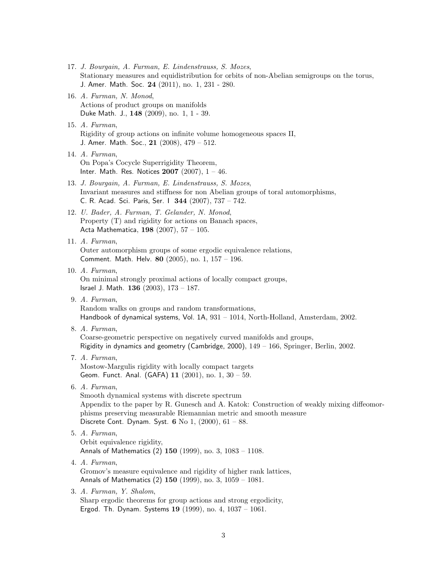- 17. J. Bourgain, A. Furman, E. Lindenstrauss, S. Mozes, Stationary measures and equidistribution for orbits of non-Abelian semigroups on the torus, J. Amer. Math. Soc. 24 (2011), no. 1, 231 - 280. 16. A. Furman, N. Monod, Actions of product groups on manifolds Duke Math. J., 148 (2009), no. 1, 1 - 39. 15. A. Furman, Rigidity of group actions on infinite volume homogeneous spaces II, J. Amer. Math. Soc.,  $21$  (2008),  $479 - 512$ . 14. A. Furman, On Popa's Cocycle Superrigidity Theorem, Inter. Math. Res. Notices  $2007$   $(2007)$ ,  $1 - 46$ . 13. J. Bourgain, A. Furman, E. Lindenstrauss, S. Mozes, Invariant measures and stiffness for non Abelian groups of toral automorphisms, C. R. Acad. Sci. Paris, Ser. I 344 (2007), 737 – 742. 12. U. Bader, A. Furman, T. Gelander, N. Monod, Property (T) and rigidity for actions on Banach spaces, Acta Mathematica, 198 (2007), 57 – 105. 11. A. Furman, Outer automorphism groups of some ergodic equivalence relations, Comment. Math. Helv. 80 (2005), no. 1, 157 – 196. 10. A. Furman, On minimal strongly proximal actions of locally compact groups, Israel J. Math. 136 (2003), 173 – 187. 9. A. Furman, Random walks on groups and random transformations, Handbook of dynamical systems, Vol. 1A, 931 – 1014, North-Holland, Amsterdam, 2002. 8. A. Furman, Coarse-geometric perspective on negatively curved manifolds and groups, Rigidity in dynamics and geometry (Cambridge, 2000), 149 – 166, Springer, Berlin, 2002. 7. A. Furman, Mostow-Margulis rigidity with locally compact targets Geom. Funct. Anal. (GAFA) 11 (2001), no. 1, 30 – 59. 6. A. Furman, Smooth dynamical systems with discrete spectrum Appendix to the paper by R. Gunesch and A. Katok: Construction of weakly mixing diffeomorphisms preserving measurable Riemannian metric and smooth measure Discrete Cont. Dynam. Syst. 6 No 1,  $(2000)$ ,  $61 - 88$ . 5. A. Furman, Orbit equivalence rigidity, Annals of Mathematics  $(2)$  150  $(1999)$ , no. 3,  $1083 - 1108$ . 4. A. Furman, Gromov's measure equivalence and rigidity of higher rank lattices, Annals of Mathematics (2) 150 (1999), no. 3, 1059 – 1081. 3. A. Furman, Y. Shalom, Sharp ergodic theorems for group actions and strong ergodicity,
	- Ergod. Th. Dynam. Systems  $19$  (1999), no. 4,  $1037 1061$ .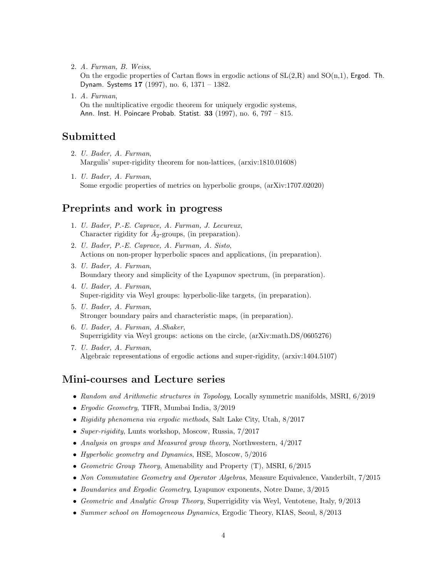2. A. Furman, B. Weiss,

On the ergodic properties of Cartan flows in ergodic actions of  $SL(2,R)$  and  $SO(n,1)$ , Ergod. Th. Dynam. Systems 17 (1997), no. 6, 1371 – 1382.

1. A. Furman, On the multiplicative ergodic theorem for uniquely ergodic systems, Ann. Inst. H. Poincare Probab. Statist. 33 (1997), no. 6, 797 – 815.

#### Submitted

- 2. U. Bader, A. Furman, Margulis' super-rigidity theorem for non-lattices, (arxiv:1810.01608)
- 1. U. Bader, A. Furman, Some ergodic properties of metrics on hyperbolic groups, (arXiv:1707.02020)

#### Preprints and work in progress

- 1. U. Bader, P.-E. Caprace, A. Furman, J. Lecureux, Character rigidity for  $\tilde{A}_2$ -groups, (in preparation).
- 2. U. Bader, P.-E. Caprace, A. Furman, A. Sisto, Actions on non-proper hyperbolic spaces and applications, (in preparation).
- 3. U. Bader, A. Furman, Boundary theory and simplicity of the Lyapunov spectrum, (in preparation).
- 4. U. Bader, A. Furman, Super-rigidity via Weyl groups: hyperbolic-like targets, (in preparation).
- 5. U. Bader, A. Furman, Stronger boundary pairs and characteristic maps, (in preparation).
- 6. U. Bader, A. Furman, A.Shaker, Superrigidity via Weyl groups: actions on the circle, (arXiv:math.DS/0605276)
- 7. U. Bader, A. Furman, Algebraic representations of ergodic actions and super-rigidity, (arxiv:1404.5107)

#### Mini-courses and Lecture series

- Random and Arithmetic structures in Topology, Locally symmetric manifolds, MSRI, 6/2019
- Ergodic Geometry, TIFR, Mumbai India, 3/2019
- Rigidity phenomena via ergodic methods, Salt Lake City, Utah, 8/2017
- Super-rigidity, Lunts workshop, Moscow, Russia, 7/2017
- Analysis on groups and Measured group theory, Northwestern, 4/2017
- Hyperbolic geometry and Dynamics, HSE, Moscow,  $5/2016$
- Geometric Group Theory, Amenability and Property  $(T)$ , MSRI,  $6/2015$
- Non Commutative Geometry and Operator Algebras, Measure Equivalence, Vanderbilt, 7/2015
- Boundaries and Ergodic Geometry, Lyapunov exponents, Notre Dame, 3/2015
- Geometric and Analytic Group Theory, Superrigidity via Weyl, Ventotene, Italy, 9/2013
- Summer school on Homogeneous Dynamics, Ergodic Theory, KIAS, Seoul, 8/2013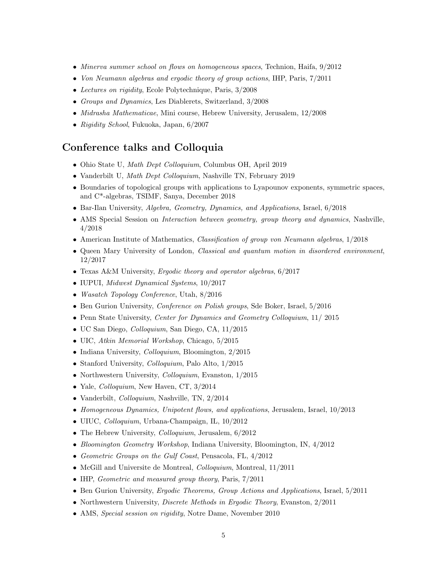- Minerva summer school on flows on homogeneous spaces, Technion, Haifa,  $9/2012$
- Von Neumann algebras and ergodic theory of group actions, IHP, Paris,  $7/2011$
- Lectures on rigidity, Ecole Polytechnique, Paris, 3/2008
- Groups and Dynamics, Les Diablerets, Switzerland, 3/2008
- *Midrasha Mathematicae*, Mini course, Hebrew University, Jerusalem, 12/2008
- Rigidity School, Fukuoka, Japan, 6/2007

#### Conference talks and Colloquia

- Ohio State U, Math Dept Colloquium, Columbus OH, April 2019
- Vanderbilt U, Math Dept Colloquium, Nashville TN, February 2019
- Boundaries of topological groups with applications to Lyapounov exponents, symmetric spaces, and C\*-algebras, TSIMF, Sanya, December 2018
- Bar-Ilan University, Algebra, Geometry, Dynamics, and Applications, Israel, 6/2018
- AMS Special Session on *Interaction between geometry, group theory and dynamics*, Nashville, 4/2018
- American Institute of Mathematics, Classification of group von Neumann algebras, 1/2018
- Queen Mary University of London, Classical and quantum motion in disordered environment, 12/2017
- Texas A&M University, *Ergodic theory and operator algebras*, 6/2017
- IUPUI, Midwest Dynamical Systems, 10/2017
- *Wasatch Topology Conference*, Utah, 8/2016
- Ben Gurion University, Conference on Polish groups, Sde Boker, Israel, 5/2016
- Penn State University, Center for Dynamics and Geometry Colloquium, 11/2015
- UC San Diego, Colloquium, San Diego, CA, 11/2015
- UIC, Atkin Memorial Workshop, Chicago, 5/2015
- Indiana University, *Colloquium*, Bloomington, 2/2015
- Stanford University, *Colloquium*, Palo Alto, 1/2015
- Northwestern University, *Colloquium*, Evanston, 1/2015
- Yale, *Colloquium*, New Haven, CT, 3/2014
- Vanderbilt, *Colloquium*, Nashville, TN, 2/2014
- Homogeneous Dynamics, Unipotent flows, and applications, Jerusalem, Israel,  $10/2013$
- UIUC, Colloquium, Urbana-Champaign, IL, 10/2012
- The Hebrew University, *Colloquium*, Jerusalem,  $6/2012$
- Bloomington Geometry Workshop, Indiana University, Bloomington, IN, 4/2012
- Geometric Groups on the Gulf Coast, Pensacola, FL, 4/2012
- McGill and Universite de Montreal, *Colloquium*, Montreal, 11/2011
- IHP, *Geometric and measured group theory*, Paris,  $7/2011$
- Ben Gurion University, Ergodic Theorems, Group Actions and Applications, Israel, 5/2011
- Northwestern University, *Discrete Methods in Ergodic Theory*, Evanston, 2/2011
- AMS, Special session on rigidity, Notre Dame, November 2010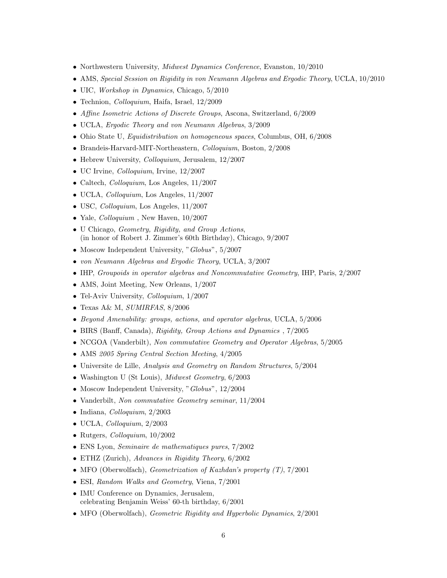- Northwestern University, *Midwest Dynamics Conference*, Evanston, 10/2010
- AMS, Special Session on Rigidity in von Neumann Algebras and Ergodic Theory, UCLA, 10/2010
- UIC, *Workshop in Dynamics*, Chicago,  $5/2010$
- Technion, *Colloquium*, Haifa, Israel, 12/2009
- Affine Isometric Actions of Discrete Groups, Ascona, Switzerland, 6/2009
- UCLA, Ergodic Theory and von Neumann Algebras, 3/2009
- Ohio State U, *Equidistribution on homogeneous spaces*, Columbus, OH, 6/2008
- Brandeis-Harvard-MIT-Northeastern, Colloquium, Boston, 2/2008
- Hebrew University, *Colloquium*, Jerusalem, 12/2007
- UC Irvine, Colloquium, Irvine, 12/2007
- Caltech, *Colloquium*, Los Angeles, 11/2007
- UCLA, Colloquium, Los Angeles, 11/2007
- USC, Colloquium, Los Angeles, 11/2007
- Yale,  $Colloquium$ , New Haven,  $10/2007$
- U Chicago, Geometry, Rigidity, and Group Actions, (in honor of Robert J. Zimmer's 60th Birthday), Chicago, 9/2007
- Moscow Independent University, "Globus", 5/2007
- von Neumann Algebras and Ergodic Theory, UCLA, 3/2007
- IHP, Groupoids in operator algebras and Noncommutative Geometry, IHP, Paris, 2/2007
- AMS, Joint Meeting, New Orleans, 1/2007
- Tel-Aviv University, *Colloquium*, 1/2007
- Texas A& M, SUMIRFAS, 8/2006
- Beyond Amenability: groups, actions, and operator algebras, UCLA, 5/2006
- BIRS (Banff, Canada), Rigidity, Group Actions and Dynamics, 7/2005
- NCGOA (Vanderbilt), Non commutative Geometry and Operator Algebras, 5/2005
- AMS 2005 Spring Central Section Meeting,  $4/2005$
- Universite de Lille, Analysis and Geometry on Random Structures, 5/2004
- Washington U (St Louis), Midwest Geometry, 6/2003
- Moscow Independent University, "Globus", 12/2004
- Vanderbilt, Non commutative Geometry seminar, 11/2004
- Indiana, *Colloquium*, 2/2003
- UCLA, Colloquium, 2/2003
- Rutgers, *Colloquium*,  $10/2002$
- ENS Lyon, Seminaire de mathematiques pures, 7/2002
- ETHZ (Zurich), Advances in Rigidity Theory, 6/2002
- MFO (Oberwolfach), Geometrization of Kazhdan's property  $(T)$ ,  $7/2001$
- ESI, Random Walks and Geometry, Viena, 7/2001
- IMU Conference on Dynamics, Jerusalem, celebrating Benjamin Weiss' 60-th birthday, 6/2001
- MFO (Oberwolfach), *Geometric Rigidity and Hyperbolic Dynamics*, 2/2001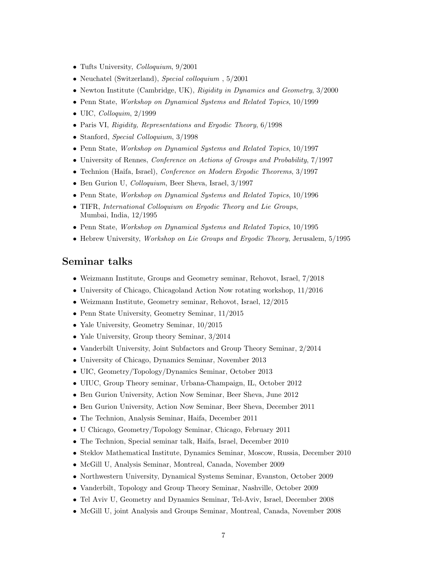- Tufts University, *Colloquium*, 9/2001
- Neuchatel (Switzerland), Special colloquium, 5/2001
- Newton Institute (Cambridge, UK), Rigidity in Dynamics and Geometry, 3/2000
- Penn State, *Workshop on Dynamical Systems and Related Topics*, 10/1999
- UIC, Colloquim,  $2/1999$
- Paris VI, Rigidity, Representations and Ergodic Theory, 6/1998
- Stanford, Special Colloquium, 3/1998
- Penn State, Workshop on Dynamical Systems and Related Topics, 10/1997
- University of Rennes, Conference on Actions of Groups and Probability, 7/1997
- Technion (Haifa, Israel), *Conference on Modern Ergodic Theorems*,  $3/1997$
- Ben Gurion U, *Colloquium*, Beer Sheva, Israel,  $3/1997$
- Penn State, Workshop on Dynamical Systems and Related Topics, 10/1996
- TIFR, International Colloquium on Ergodic Theory and Lie Groups, Mumbai, India, 12/1995
- Penn State, Workshop on Dynamical Systems and Related Topics, 10/1995
- Hebrew University, *Workshop on Lie Groups and Ergodic Theory*, Jerusalem, 5/1995

#### Seminar talks

- Weizmann Institute, Groups and Geometry seminar, Rehovot, Israel, 7/2018
- University of Chicago, Chicagoland Action Now rotating workshop, 11/2016
- Weizmann Institute, Geometry seminar, Rehovot, Israel, 12/2015
- Penn State University, Geometry Seminar, 11/2015
- Yale University, Geometry Seminar,  $10/2015$
- Yale University, Group theory Seminar,  $3/2014$
- Vanderbilt University, Joint Subfactors and Group Theory Seminar, 2/2014
- University of Chicago, Dynamics Seminar, November 2013
- UIC, Geometry/Topology/Dynamics Seminar, October 2013
- UIUC, Group Theory seminar, Urbana-Champaign, IL, October 2012
- Ben Gurion University, Action Now Seminar, Beer Sheva, June 2012
- Ben Gurion University, Action Now Seminar, Beer Sheva, December 2011
- The Technion, Analysis Seminar, Haifa, December 2011
- U Chicago, Geometry/Topology Seminar, Chicago, February 2011
- The Technion, Special seminar talk, Haifa, Israel, December 2010
- Steklov Mathematical Institute, Dynamics Seminar, Moscow, Russia, December 2010
- McGill U, Analysis Seminar, Montreal, Canada, November 2009
- Northwestern University, Dynamical Systems Seminar, Evanston, October 2009
- Vanderbilt, Topology and Group Theory Seminar, Nashville, October 2009
- Tel Aviv U, Geometry and Dynamics Seminar, Tel-Aviv, Israel, December 2008
- McGill U, joint Analysis and Groups Seminar, Montreal, Canada, November 2008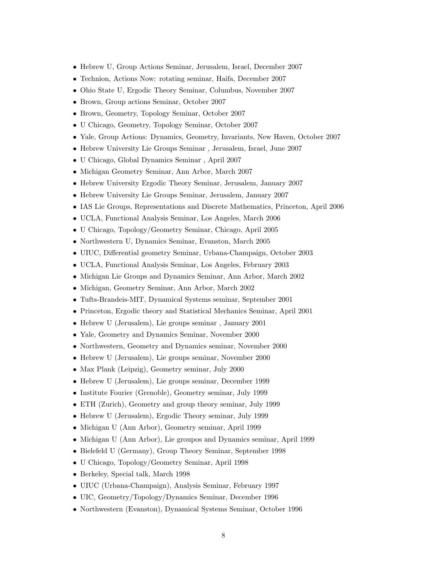- Hebrew U, Group Actions Seminar, Jerusalem, Israel, December 2007
- Technion, Actions Now: rotating seminar, Haifa, December 2007
- Ohio State U, Ergodic Theory Seminar, Columbus, November 2007
- Brown, Group actions Seminar, October 2007
- Brown, Geometry, Topology Seminar, October 2007
- U Chicago, Geometry, Topology Seminar, October 2007
- Yale, Group Actions: Dynamics, Geometry, Invariants, New Haven, October 2007
- Hebrew University Lie Groups Seminar , Jerusalem, Israel, June 2007
- U Chicago, Global Dynamics Seminar , April 2007
- Michigan Geometry Seminar, Ann Arbor, March 2007
- Hebrew University Ergodic Theory Seminar, Jerusalem, January 2007
- Hebrew University Lie Groups Seminar, Jerusalem, January 2007
- IAS Lie Groups, Representations and Discrete Mathematics, Princeton, April 2006
- UCLA, Functional Analysis Seminar, Los Angeles, March 2006
- U Chicago, Topology/Geometry Seminar, Chicago, April 2005
- Northwestern U, Dynamics Seminar, Evanston, March 2005
- UIUC, Differential geometry Seminar, Urbana-Champaign, October 2003
- UCLA, Functional Analysis Seminar, Los Angeles, February 2003
- Michigan Lie Groups and Dynamics Seminar, Ann Arbor, March 2002
- Michigan, Geometry Seminar, Ann Arbor, March 2002
- Tufts-Brandeis-MIT, Dynamical Systems seminar, September 2001
- Princeton, Ergodic theory and Statistical Mechanics Seminar, April 2001
- Hebrew U (Jerusalem), Lie groups seminar , January 2001
- Yale, Geometry and Dynamics Seminar, November 2000
- Northwestern, Geometry and Dynamics seminar, November 2000
- Hebrew U (Jerusalem), Lie groups seminar, November 2000
- Max Plank (Leipzig), Geometry seminar, July 2000
- Hebrew U (Jerusalem), Lie groups seminar, December 1999
- Institute Fourier (Grenoble), Geometry seminar, July 1999
- ETH (Zurich), Geometry and group theory seminar, July 1999
- Hebrew U (Jerusalem), Ergodic Theory seminar, July 1999
- Michigan U (Ann Arbor), Geometry seminar, April 1999
- Michigan U (Ann Arbor), Lie groupos and Dynamics seminar, April 1999
- Bielefeld U (Germany), Group Theory Seminar, September 1998
- U Chicago, Topology/Geometry Seminar, April 1998
- Berkeley, Special talk, March 1998
- UIUC (Urbana-Champaign), Analysis Seminar, February 1997
- UIC, Geometry/Topology/Dynamics Seminar, December 1996
- Northwestern (Evanston), Dynamical Systems Seminar, October 1996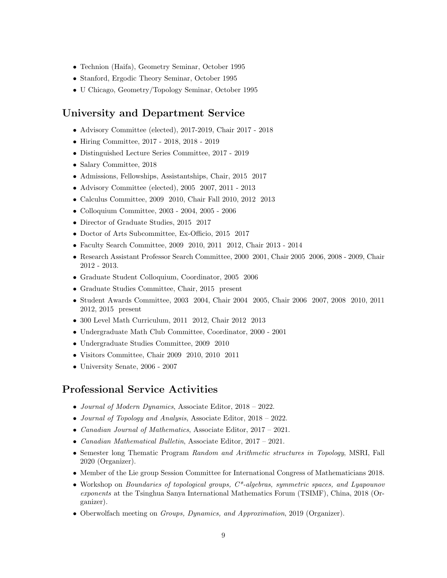- Technion (Haifa), Geometry Seminar, October 1995
- Stanford, Ergodic Theory Seminar, October 1995
- U Chicago, Geometry/Topology Seminar, October 1995

#### University and Department Service

- Advisory Committee (elected), 2017-2019, Chair 2017 2018
- Hiring Committee, 2017 2018, 2018 2019
- Distinguished Lecture Series Committee, 2017 2019
- Salary Committee, 2018
- Admissions, Fellowships, Assistantships, Chair, 2015 2017
- Advisory Committee (elected), 2005 2007, 2011 2013
- Calculus Committee, 2009 2010, Chair Fall 2010, 2012 2013
- Colloquium Committee, 2003 2004, 2005 2006
- Director of Graduate Studies, 2015 2017
- Doctor of Arts Subcommittee, Ex-Officio, 2015 2017
- Faculty Search Committee, 2009 2010, 2011 2012, Chair 2013 2014
- Research Assistant Professor Search Committee, 2000 2001, Chair 2005 2006, 2008 2009, Chair 2012 - 2013.
- Graduate Student Colloquium, Coordinator, 2005 2006
- Graduate Studies Committee, Chair, 2015 present
- Student Awards Committee, 2003 2004, Chair 2004 2005, Chair 2006 2007, 2008 2010, 2011 2012, 2015 present
- 300 Level Math Curriculum, 2011 2012, Chair 2012 2013
- Undergraduate Math Club Committee, Coordinator, 2000 2001
- Undergraduate Studies Committee, 2009 2010
- Visitors Committee, Chair 2009 2010, 2010 2011
- University Senate, 2006 2007

#### Professional Service Activities

- Journal of Modern Dynamics, Associate Editor, 2018 2022.
- Journal of Topology and Analysis, Associate Editor, 2018 2022.
- Canadian Journal of Mathematics, Associate Editor, 2017 2021.
- Canadian Mathematical Bulletin, Associate Editor, 2017 2021.
- Semester long Thematic Program Random and Arithmetic structures in Topology, MSRI, Fall 2020 (Organizer).
- Member of the Lie group Session Committee for International Congress of Mathematicians 2018.
- Workshop on *Boundaries of topological groups*,  $C^*$ -algebras, symmetric spaces, and Lyapounov exponents at the Tsinghua Sanya International Mathematics Forum (TSIMF), China, 2018 (Organizer).
- Oberwolfach meeting on Groups, Dynamics, and Approximation, 2019 (Organizer).